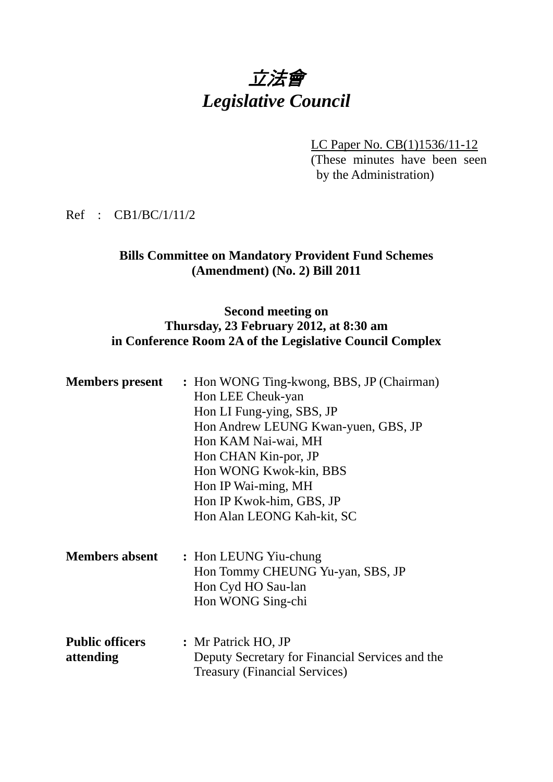# 立法會 *Legislative Council*

LC Paper No. CB(1)1536/11-12 (These minutes have been seen by the Administration)

Ref : CB1/BC/1/11/2

## **Bills Committee on Mandatory Provident Fund Schemes (Amendment) (No. 2) Bill 2011**

## **Second meeting on Thursday, 23 February 2012, at 8:30 am in Conference Room 2A of the Legislative Council Complex**

| <b>Members present</b>              | : Hon WONG Ting-kwong, BBS, JP (Chairman)<br>Hon LEE Cheuk-yan<br>Hon LI Fung-ying, SBS, JP<br>Hon Andrew LEUNG Kwan-yuen, GBS, JP<br>Hon KAM Nai-wai, MH<br>Hon CHAN Kin-por, JP<br>Hon WONG Kwok-kin, BBS<br>Hon IP Wai-ming, MH<br>Hon IP Kwok-him, GBS, JP<br>Hon Alan LEONG Kah-kit, SC |
|-------------------------------------|----------------------------------------------------------------------------------------------------------------------------------------------------------------------------------------------------------------------------------------------------------------------------------------------|
| <b>Members absent</b>               | : Hon LEUNG Yiu-chung<br>Hon Tommy CHEUNG Yu-yan, SBS, JP<br>Hon Cyd HO Sau-lan<br>Hon WONG Sing-chi                                                                                                                                                                                         |
| <b>Public officers</b><br>attending | : Mr Patrick HO, JP<br>Deputy Secretary for Financial Services and the<br><b>Treasury (Financial Services)</b>                                                                                                                                                                               |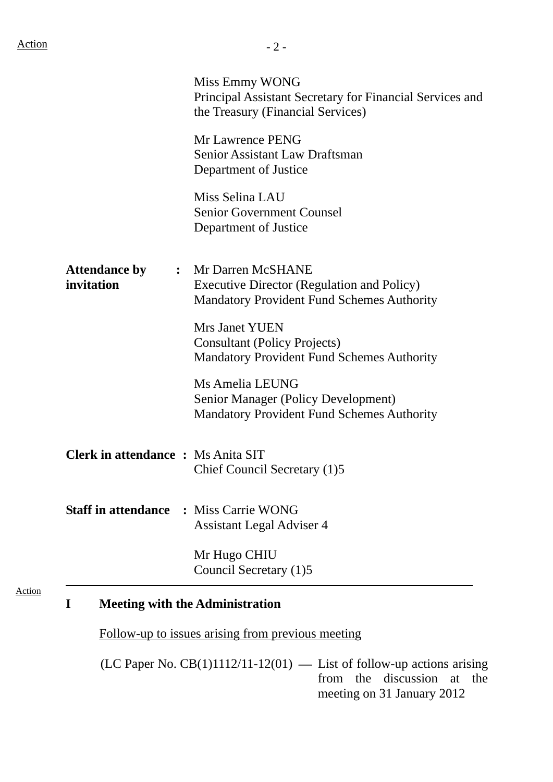|                                           | Miss Emmy WONG<br>Principal Assistant Secretary for Financial Services and<br>the Treasury (Financial Services)               |
|-------------------------------------------|-------------------------------------------------------------------------------------------------------------------------------|
|                                           | Mr Lawrence PENG<br><b>Senior Assistant Law Draftsman</b><br>Department of Justice                                            |
|                                           | Miss Selina LAU<br><b>Senior Government Counsel</b><br>Department of Justice                                                  |
| <b>Attendance by</b><br>invitation        | : Mr Darren McSHANE<br><b>Executive Director (Regulation and Policy)</b><br><b>Mandatory Provident Fund Schemes Authority</b> |
|                                           | <b>Mrs Janet YUEN</b><br><b>Consultant (Policy Projects)</b><br><b>Mandatory Provident Fund Schemes Authority</b>             |
|                                           | Ms Amelia LEUNG<br><b>Senior Manager (Policy Development)</b><br><b>Mandatory Provident Fund Schemes Authority</b>            |
| <b>Clerk in attendance : Ms Anita SIT</b> | Chief Council Secretary (1)5                                                                                                  |
| <b>Staff in attendance</b>                | : Miss Carrie WONG<br><b>Assistant Legal Adviser 4</b>                                                                        |
|                                           | Mr Hugo CHIU<br>Council Secretary (1)5                                                                                        |

Follow-up to issues arising from previous meeting

(LC Paper No.  $CB(1)1112/11-12(01)$  — List of follow-up actions arising from the discussion at the meeting on 31 January 2012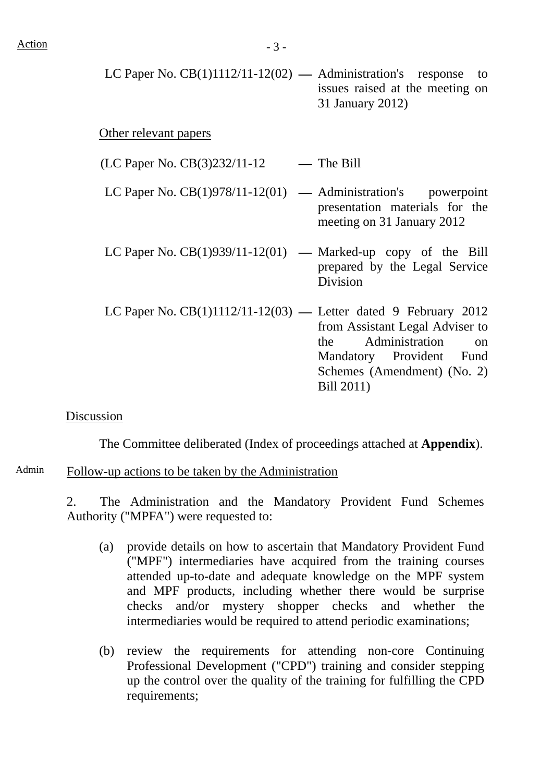LC Paper No.  $CB(1)1112/11-12(02)$  — Administration's response to issues raised at the meeting on 31 January 2012)

#### Other relevant papers

 $(LC$  Paper No.  $CB(3)232/11-12$  - The Bill

- LC Paper No.  $CB(1)978/11-12(01)$  Administration's powerpoint presentation materials for the meeting on 31 January 2012
- LC Paper No.  $CB(1)939/11-12(01)$  Marked-up copy of the Bill prepared by the Legal Service **Division**
- LC Paper No.  $CB(1)1112/11-12(03)$  Letter dated 9 February 2012 from Assistant Legal Adviser to the Administration on Mandatory Provident Fund Schemes (Amendment) (No. 2) Bill 2011)

#### Discussion

The Committee deliberated (Index of proceedings attached at **Appendix**).

Admin Follow-up actions to be taken by the Administration

2. The Administration and the Mandatory Provident Fund Schemes Authority ("MPFA") were requested to:

- (a) provide details on how to ascertain that Mandatory Provident Fund ("MPF") intermediaries have acquired from the training courses attended up-to-date and adequate knowledge on the MPF system and MPF products, including whether there would be surprise checks and/or mystery shopper checks and whether the intermediaries would be required to attend periodic examinations;
- (b) review the requirements for attending non-core Continuing Professional Development ("CPD") training and consider stepping up the control over the quality of the training for fulfilling the CPD requirements;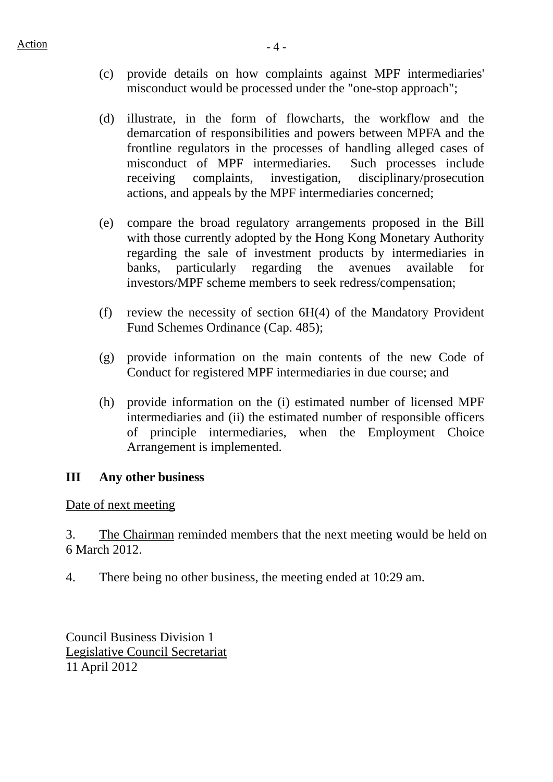- (c) provide details on how complaints against MPF intermediaries' misconduct would be processed under the "one-stop approach";
- (d) illustrate, in the form of flowcharts, the workflow and the demarcation of responsibilities and powers between MPFA and the frontline regulators in the processes of handling alleged cases of misconduct of MPF intermediaries. Such processes include receiving complaints, investigation, disciplinary/prosecution actions, and appeals by the MPF intermediaries concerned;
- (e) compare the broad regulatory arrangements proposed in the Bill with those currently adopted by the Hong Kong Monetary Authority regarding the sale of investment products by intermediaries in banks, particularly regarding the avenues available for investors/MPF scheme members to seek redress/compensation;
- (f) review the necessity of section 6H(4) of the Mandatory Provident Fund Schemes Ordinance (Cap. 485);
- (g) provide information on the main contents of the new Code of Conduct for registered MPF intermediaries in due course; and
- (h) provide information on the (i) estimated number of licensed MPF intermediaries and (ii) the estimated number of responsible officers of principle intermediaries, when the Employment Choice Arrangement is implemented.

## **III Any other business**

#### Date of next meeting

3. The Chairman reminded members that the next meeting would be held on 6 March 2012.

4. There being no other business, the meeting ended at 10:29 am.

Council Business Division 1 Legislative Council Secretariat 11 April 2012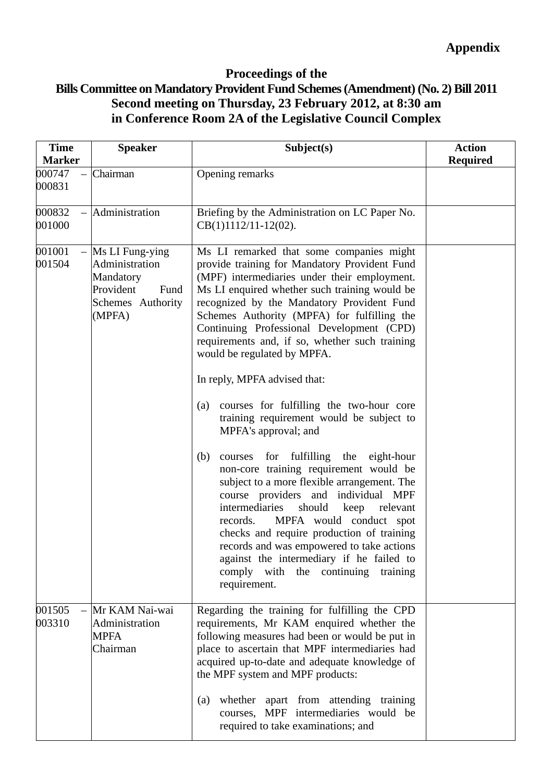## **Proceedings of the Bills Committee on Mandatory Provident Fund Schemes (Amendment) (No. 2) Bill 2011 Second meeting on Thursday, 23 February 2012, at 8:30 am in Conference Room 2A of the Legislative Council Complex**

| <b>Time</b><br><b>Marker</b> | <b>Speaker</b>                                                                                         | Subject(s)                                                                                                                                                                                                                                                                                                                                                                                                                                                          | <b>Action</b><br><b>Required</b> |
|------------------------------|--------------------------------------------------------------------------------------------------------|---------------------------------------------------------------------------------------------------------------------------------------------------------------------------------------------------------------------------------------------------------------------------------------------------------------------------------------------------------------------------------------------------------------------------------------------------------------------|----------------------------------|
| 000747<br>000831             | Chairman                                                                                               | Opening remarks                                                                                                                                                                                                                                                                                                                                                                                                                                                     |                                  |
| 000832<br>001000             | Administration                                                                                         | Briefing by the Administration on LC Paper No.<br>$CB(1)1112/11-12(02)$ .                                                                                                                                                                                                                                                                                                                                                                                           |                                  |
| 001001<br>001504             | $-$ Ms LI Fung-ying<br>Administration<br>Mandatory<br>Provident<br>Fund<br>Schemes Authority<br>(MPFA) | Ms LI remarked that some companies might<br>provide training for Mandatory Provident Fund<br>(MPF) intermediaries under their employment.<br>Ms LI enquired whether such training would be<br>recognized by the Mandatory Provident Fund<br>Schemes Authority (MPFA) for fulfilling the<br>Continuing Professional Development (CPD)<br>requirements and, if so, whether such training<br>would be regulated by MPFA.                                               |                                  |
|                              |                                                                                                        | In reply, MPFA advised that:<br>courses for fulfilling the two-hour core<br>(a)<br>training requirement would be subject to<br>MPFA's approval; and                                                                                                                                                                                                                                                                                                                 |                                  |
|                              |                                                                                                        | courses for fulfilling the eight-hour<br>(b)<br>non-core training requirement would be<br>subject to a more flexible arrangement. The<br>course providers and individual MPF<br>intermediaries<br>should<br>keep<br>relevant<br>records.<br>MPFA would conduct spot<br>checks and require production of training<br>records and was empowered to take actions<br>against the intermediary if he failed to<br>comply with the continuing<br>training<br>requirement. |                                  |
| 001505<br>003310             | Mr KAM Nai-wai<br>Administration<br><b>MPFA</b><br>Chairman                                            | Regarding the training for fulfilling the CPD<br>requirements, Mr KAM enquired whether the<br>following measures had been or would be put in<br>place to ascertain that MPF intermediaries had<br>acquired up-to-date and adequate knowledge of<br>the MPF system and MPF products:<br>whether apart from attending training<br>(a)<br>courses, MPF intermediaries would be<br>required to take examinations; and                                                   |                                  |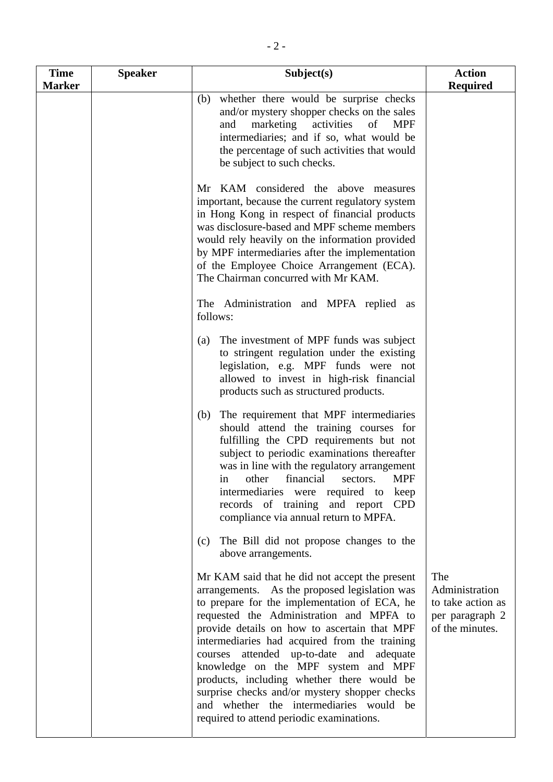| <b>Time</b><br><b>Marker</b> | <b>Speaker</b> | Subject(s)                                                                                                                                                                                                                                                                                                                                                                                                                                                                                                                                                             | <b>Action</b><br><b>Required</b>                                                 |
|------------------------------|----------------|------------------------------------------------------------------------------------------------------------------------------------------------------------------------------------------------------------------------------------------------------------------------------------------------------------------------------------------------------------------------------------------------------------------------------------------------------------------------------------------------------------------------------------------------------------------------|----------------------------------------------------------------------------------|
|                              |                | whether there would be surprise checks<br>(b)<br>and/or mystery shopper checks on the sales<br>marketing activities<br>and<br>of<br><b>MPF</b><br>intermediaries; and if so, what would be<br>the percentage of such activities that would<br>be subject to such checks.                                                                                                                                                                                                                                                                                               |                                                                                  |
|                              |                | Mr KAM considered the above measures<br>important, because the current regulatory system<br>in Hong Kong in respect of financial products<br>was disclosure-based and MPF scheme members<br>would rely heavily on the information provided<br>by MPF intermediaries after the implementation<br>of the Employee Choice Arrangement (ECA).<br>The Chairman concurred with Mr KAM.                                                                                                                                                                                       |                                                                                  |
|                              |                | The Administration and MPFA replied as<br>follows:                                                                                                                                                                                                                                                                                                                                                                                                                                                                                                                     |                                                                                  |
|                              |                | The investment of MPF funds was subject<br>(a)<br>to stringent regulation under the existing<br>legislation, e.g. MPF funds were not<br>allowed to invest in high-risk financial<br>products such as structured products.                                                                                                                                                                                                                                                                                                                                              |                                                                                  |
|                              |                | The requirement that MPF intermediaries<br>(b)<br>should attend the training courses for<br>fulfilling the CPD requirements but not<br>subject to periodic examinations thereafter<br>was in line with the regulatory arrangement<br>in other financial sectors. MPF<br>intermediaries were required to keep<br>records of training and report<br><b>CPD</b><br>compliance via annual return to MPFA.                                                                                                                                                                  |                                                                                  |
|                              |                | The Bill did not propose changes to the<br>(c)<br>above arrangements.                                                                                                                                                                                                                                                                                                                                                                                                                                                                                                  |                                                                                  |
|                              |                | Mr KAM said that he did not accept the present<br>arrangements. As the proposed legislation was<br>to prepare for the implementation of ECA, he<br>requested the Administration and MPFA to<br>provide details on how to ascertain that MPF<br>intermediaries had acquired from the training<br>courses attended up-to-date and adequate<br>knowledge on the MPF system and MPF<br>products, including whether there would be<br>surprise checks and/or mystery shopper checks<br>and whether the intermediaries would be<br>required to attend periodic examinations. | The<br>Administration<br>to take action as<br>per paragraph 2<br>of the minutes. |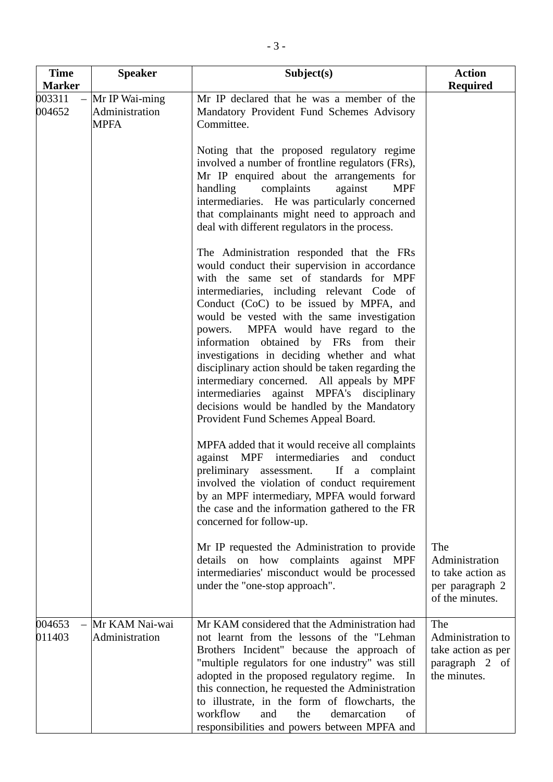| <b>Time</b><br><b>Marker</b> | <b>Speaker</b>                                      | Subject(s)                                                                                                                                                                                                                                                                                                                                                                                                                                                                                                                                                                                                                                             | <b>Action</b>                                                                    |
|------------------------------|-----------------------------------------------------|--------------------------------------------------------------------------------------------------------------------------------------------------------------------------------------------------------------------------------------------------------------------------------------------------------------------------------------------------------------------------------------------------------------------------------------------------------------------------------------------------------------------------------------------------------------------------------------------------------------------------------------------------------|----------------------------------------------------------------------------------|
| 003311<br>004652             | $-$ Mr IP Wai-ming<br>Administration<br><b>MPFA</b> | Mr IP declared that he was a member of the<br>Mandatory Provident Fund Schemes Advisory<br>Committee.                                                                                                                                                                                                                                                                                                                                                                                                                                                                                                                                                  | <b>Required</b>                                                                  |
|                              |                                                     | Noting that the proposed regulatory regime<br>involved a number of frontline regulators (FRs),<br>Mr IP enquired about the arrangements for<br>handling<br>complaints<br>against<br><b>MPF</b><br>intermediaries. He was particularly concerned<br>that complainants might need to approach and<br>deal with different regulators in the process.                                                                                                                                                                                                                                                                                                      |                                                                                  |
|                              |                                                     | The Administration responded that the FRs<br>would conduct their supervision in accordance<br>with the same set of standards for MPF<br>intermediaries, including relevant Code of<br>Conduct (CoC) to be issued by MPFA, and<br>would be vested with the same investigation<br>powers. MPFA would have regard to the<br>information obtained by FRs from their<br>investigations in deciding whether and what<br>disciplinary action should be taken regarding the<br>intermediary concerned. All appeals by MPF<br>intermediaries against MPFA's disciplinary<br>decisions would be handled by the Mandatory<br>Provident Fund Schemes Appeal Board. |                                                                                  |
|                              |                                                     | MPFA added that it would receive all complaints<br>against MPF intermediaries<br>and conduct<br>preliminary<br>If a complaint<br>assessment.<br>involved the violation of conduct requirement<br>by an MPF intermediary, MPFA would forward<br>the case and the information gathered to the FR<br>concerned for follow-up.                                                                                                                                                                                                                                                                                                                             |                                                                                  |
|                              |                                                     | Mr IP requested the Administration to provide<br>details on how complaints<br>against<br><b>MPF</b><br>intermediaries' misconduct would be processed<br>under the "one-stop approach".                                                                                                                                                                                                                                                                                                                                                                                                                                                                 | The<br>Administration<br>to take action as<br>per paragraph 2<br>of the minutes. |
| 004653<br>011403             | Mr KAM Nai-wai<br>Administration                    | Mr KAM considered that the Administration had<br>not learnt from the lessons of the "Lehman"<br>Brothers Incident" because the approach of<br>"multiple regulators for one industry" was still<br>adopted in the proposed regulatory regime. In<br>this connection, he requested the Administration<br>to illustrate, in the form of flowcharts, the<br>workflow<br>and<br>the<br>demarcation<br>of<br>responsibilities and powers between MPFA and                                                                                                                                                                                                    | The<br>Administration to<br>take action as per<br>paragraph 2 of<br>the minutes. |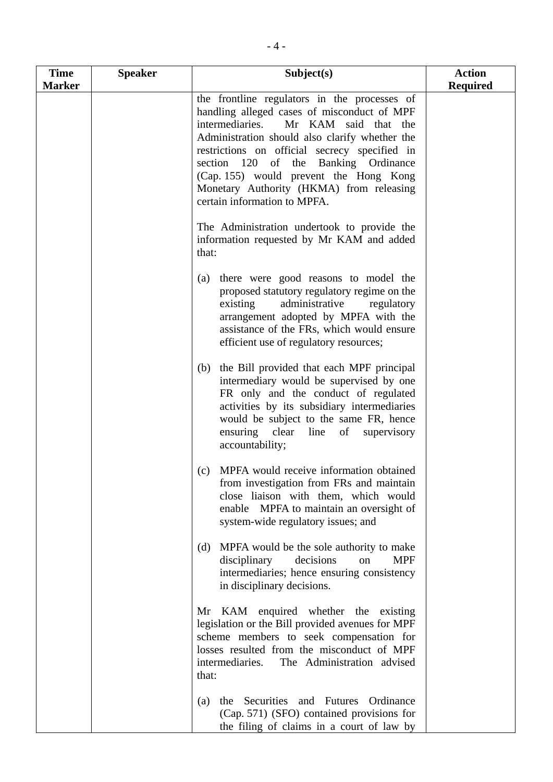| <b>Time</b>   | <b>Speaker</b> | Subject(s)                                                                                                                                                                                                                                                                                                                                                                                              | <b>Action</b>   |
|---------------|----------------|---------------------------------------------------------------------------------------------------------------------------------------------------------------------------------------------------------------------------------------------------------------------------------------------------------------------------------------------------------------------------------------------------------|-----------------|
| <b>Marker</b> |                |                                                                                                                                                                                                                                                                                                                                                                                                         | <b>Required</b> |
|               |                | the frontline regulators in the processes of<br>handling alleged cases of misconduct of MPF<br>intermediaries.<br>Mr KAM said that the<br>Administration should also clarify whether the<br>restrictions on official secrecy specified in<br>section 120 of the Banking Ordinance<br>(Cap. 155) would prevent the Hong Kong<br>Monetary Authority (HKMA) from releasing<br>certain information to MPFA. |                 |
|               |                | The Administration undertook to provide the<br>information requested by Mr KAM and added<br>that:                                                                                                                                                                                                                                                                                                       |                 |
|               |                | there were good reasons to model the<br>(a)<br>proposed statutory regulatory regime on the<br>administrative<br>existing<br>regulatory<br>arrangement adopted by MPFA with the<br>assistance of the FRs, which would ensure<br>efficient use of regulatory resources;                                                                                                                                   |                 |
|               |                | the Bill provided that each MPF principal<br>(b)<br>intermediary would be supervised by one<br>FR only and the conduct of regulated<br>activities by its subsidiary intermediaries<br>would be subject to the same FR, hence<br>ensuring clear line of<br>supervisory<br>accountability;                                                                                                                |                 |
|               |                | MPFA would receive information obtained<br>(c)<br>from investigation from FRs and maintain<br>close liaison with them, which would<br>enable MPFA to maintain an oversight of<br>system-wide regulatory issues; and                                                                                                                                                                                     |                 |
|               |                | MPFA would be the sole authority to make<br>(d)<br>disciplinary<br>decisions<br><b>MPF</b><br>on<br>intermediaries; hence ensuring consistency<br>in disciplinary decisions.                                                                                                                                                                                                                            |                 |
|               |                | Mr KAM enquired whether the existing<br>legislation or the Bill provided avenues for MPF<br>scheme members to seek compensation for<br>losses resulted from the misconduct of MPF<br>The Administration advised<br>intermediaries.<br>that:                                                                                                                                                             |                 |
|               |                | the Securities and Futures<br>Ordinance<br>(a)<br>(Cap. 571) (SFO) contained provisions for<br>the filing of claims in a court of law by                                                                                                                                                                                                                                                                |                 |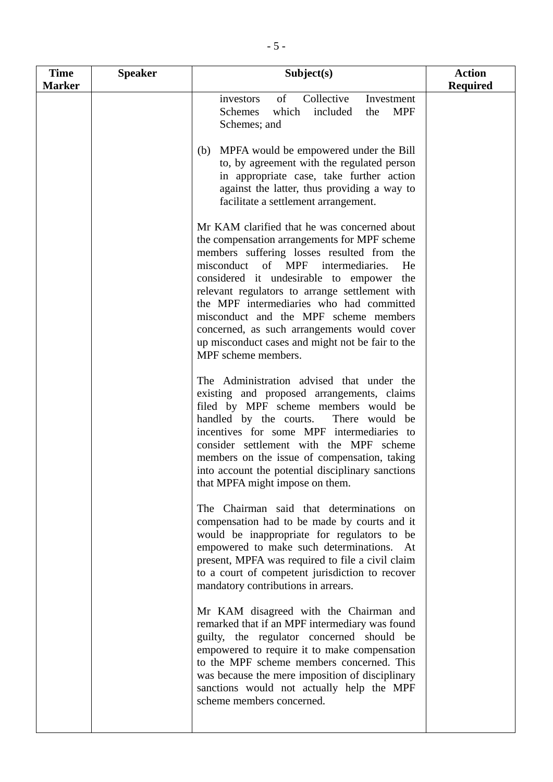| <b>Time</b>   | <b>Speaker</b> | Subject(s)                                                                                                                                                                                                                                                                                                                                                                                                                                                                                         | <b>Action</b>   |
|---------------|----------------|----------------------------------------------------------------------------------------------------------------------------------------------------------------------------------------------------------------------------------------------------------------------------------------------------------------------------------------------------------------------------------------------------------------------------------------------------------------------------------------------------|-----------------|
| <b>Marker</b> |                | of<br>Collective<br>Investment<br>investors<br>which<br><b>MPF</b><br><b>Schemes</b><br>included<br>the<br>Schemes; and                                                                                                                                                                                                                                                                                                                                                                            | <b>Required</b> |
|               |                | MPFA would be empowered under the Bill<br>(b)<br>to, by agreement with the regulated person<br>in appropriate case, take further action<br>against the latter, thus providing a way to<br>facilitate a settlement arrangement.                                                                                                                                                                                                                                                                     |                 |
|               |                | Mr KAM clarified that he was concerned about<br>the compensation arrangements for MPF scheme<br>members suffering losses resulted from the<br>misconduct of MPF intermediaries.<br>He<br>considered it undesirable to empower the<br>relevant regulators to arrange settlement with<br>the MPF intermediaries who had committed<br>misconduct and the MPF scheme members<br>concerned, as such arrangements would cover<br>up misconduct cases and might not be fair to the<br>MPF scheme members. |                 |
|               |                | The Administration advised that under the<br>existing and proposed arrangements, claims<br>filed by MPF scheme members would be<br>handled by the courts.<br>There would be<br>incentives for some MPF intermediaries to<br>consider settlement with the MPF scheme<br>members on the issue of compensation, taking<br>into account the potential disciplinary sanctions<br>that MPFA might impose on them.                                                                                        |                 |
|               |                | The Chairman said that determinations on<br>compensation had to be made by courts and it<br>would be inappropriate for regulators to be<br>empowered to make such determinations. At<br>present, MPFA was required to file a civil claim<br>to a court of competent jurisdiction to recover<br>mandatory contributions in arrears.                                                                                                                                                                 |                 |
|               |                | Mr KAM disagreed with the Chairman and<br>remarked that if an MPF intermediary was found<br>guilty, the regulator concerned should be<br>empowered to require it to make compensation<br>to the MPF scheme members concerned. This<br>was because the mere imposition of disciplinary<br>sanctions would not actually help the MPF<br>scheme members concerned.                                                                                                                                    |                 |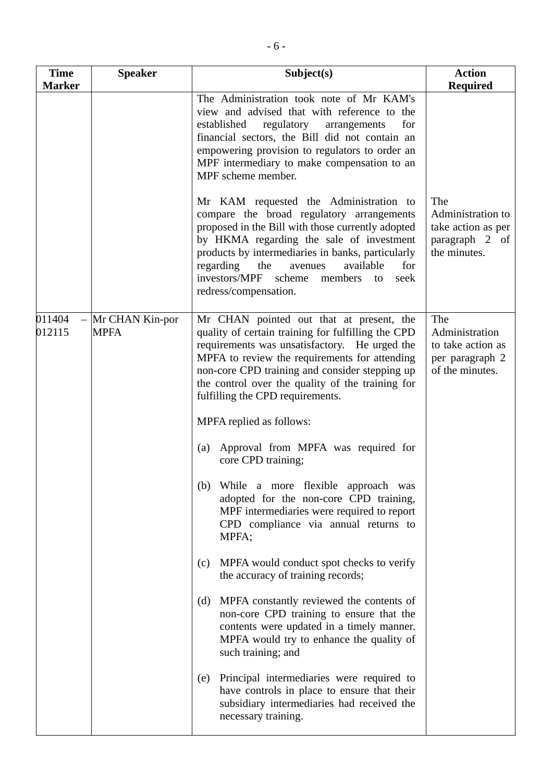| <b>Time</b>      | <b>Speaker</b>                 | Subject(s)                                                                                                                                                                                                                                                                                                                                                                | <b>Action</b>                                                                    |
|------------------|--------------------------------|---------------------------------------------------------------------------------------------------------------------------------------------------------------------------------------------------------------------------------------------------------------------------------------------------------------------------------------------------------------------------|----------------------------------------------------------------------------------|
| <b>Marker</b>    |                                |                                                                                                                                                                                                                                                                                                                                                                           | <b>Required</b>                                                                  |
|                  |                                | The Administration took note of Mr KAM's<br>view and advised that with reference to the<br>established<br>regulatory<br>for<br>arrangements<br>financial sectors, the Bill did not contain an<br>empowering provision to regulators to order an<br>MPF intermediary to make compensation to an<br>MPF scheme member.                                                      |                                                                                  |
|                  |                                | Mr KAM requested the Administration to<br>compare the broad regulatory arrangements<br>proposed in the Bill with those currently adopted<br>by HKMA regarding the sale of investment<br>products by intermediaries in banks, particularly<br>for<br>regarding<br>the<br>available<br>avenues<br>investors/MPF<br>scheme<br>members<br>seek<br>to<br>redress/compensation. | The<br>Administration to<br>take action as per<br>paragraph 2 of<br>the minutes. |
| 011404<br>012115 | Mr CHAN Kin-por<br><b>MPFA</b> | Mr CHAN pointed out that at present, the<br>quality of certain training for fulfilling the CPD<br>requirements was unsatisfactory. He urged the<br>MPFA to review the requirements for attending<br>non-core CPD training and consider stepping up<br>the control over the quality of the training for<br>fulfilling the CPD requirements.                                | The<br>Administration<br>to take action as<br>per paragraph 2<br>of the minutes. |
|                  |                                | MPFA replied as follows:                                                                                                                                                                                                                                                                                                                                                  |                                                                                  |
|                  |                                | Approval from MPFA was required for<br>(a)<br>core CPD training;                                                                                                                                                                                                                                                                                                          |                                                                                  |
|                  |                                | While a more flexible approach was<br>(b)<br>adopted for the non-core CPD training,<br>MPF intermediaries were required to report<br>CPD compliance via annual returns to<br>MPFA;                                                                                                                                                                                        |                                                                                  |
|                  |                                | MPFA would conduct spot checks to verify<br>(c)<br>the accuracy of training records;                                                                                                                                                                                                                                                                                      |                                                                                  |
|                  |                                | MPFA constantly reviewed the contents of<br>(d)<br>non-core CPD training to ensure that the<br>contents were updated in a timely manner.<br>MPFA would try to enhance the quality of<br>such training; and                                                                                                                                                                |                                                                                  |
|                  |                                | Principal intermediaries were required to<br>(e)<br>have controls in place to ensure that their<br>subsidiary intermediaries had received the<br>necessary training.                                                                                                                                                                                                      |                                                                                  |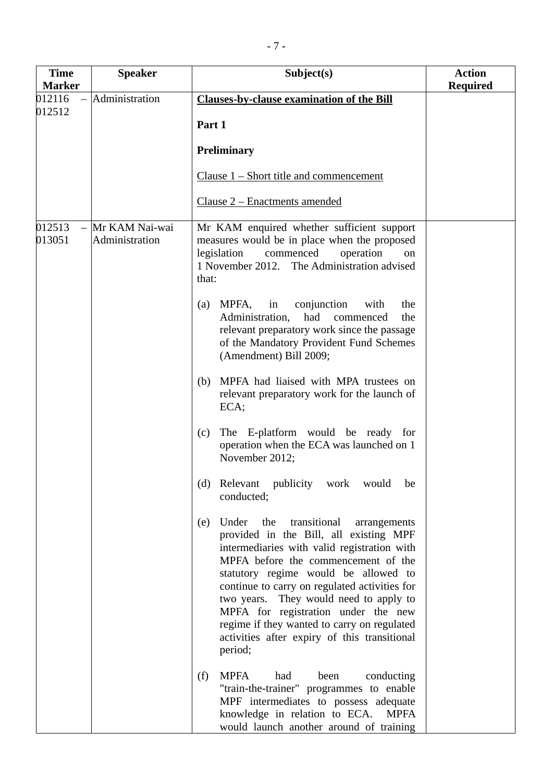| <b>Time</b>      | <b>Speaker</b>                   | Subject(s)                                                                                                                                                                                                                                                                                                                                                                                                                                                              | <b>Action</b>   |
|------------------|----------------------------------|-------------------------------------------------------------------------------------------------------------------------------------------------------------------------------------------------------------------------------------------------------------------------------------------------------------------------------------------------------------------------------------------------------------------------------------------------------------------------|-----------------|
| <b>Marker</b>    |                                  |                                                                                                                                                                                                                                                                                                                                                                                                                                                                         | <b>Required</b> |
| 012116<br>012512 | Administration                   | <b>Clauses-by-clause examination of the Bill</b><br>Part 1<br><b>Preliminary</b><br>Clause $1$ – Short title and commencement                                                                                                                                                                                                                                                                                                                                           |                 |
|                  |                                  | Clause 2 – Enactments amended                                                                                                                                                                                                                                                                                                                                                                                                                                           |                 |
| 012513<br>013051 | Mr KAM Nai-wai<br>Administration | Mr KAM enquired whether sufficient support<br>measures would be in place when the proposed<br>legislation<br>commenced<br>operation<br>on<br>1 November 2012. The Administration advised<br>that:                                                                                                                                                                                                                                                                       |                 |
|                  |                                  | MPFA, in conjunction<br>with<br>the<br>(a)<br>Administration, had commenced<br>the<br>relevant preparatory work since the passage<br>of the Mandatory Provident Fund Schemes<br>(Amendment) Bill 2009;                                                                                                                                                                                                                                                                  |                 |
|                  |                                  | MPFA had liaised with MPA trustees on<br>(b)<br>relevant preparatory work for the launch of<br>ECA;                                                                                                                                                                                                                                                                                                                                                                     |                 |
|                  |                                  | The E-platform would be ready for<br>(c)<br>operation when the ECA was launched on 1<br>November 2012;                                                                                                                                                                                                                                                                                                                                                                  |                 |
|                  |                                  | (d) Relevant publicity work would be<br>conducted;                                                                                                                                                                                                                                                                                                                                                                                                                      |                 |
|                  |                                  | Under the<br>transitional<br>(e)<br>arrangements<br>provided in the Bill, all existing MPF<br>intermediaries with valid registration with<br>MPFA before the commencement of the<br>statutory regime would be allowed to<br>continue to carry on regulated activities for<br>They would need to apply to<br>two years.<br>MPFA for registration under the new<br>regime if they wanted to carry on regulated<br>activities after expiry of this transitional<br>period; |                 |
|                  |                                  | <b>MPFA</b><br>(f)<br>had<br>been<br>conducting<br>"train-the-trainer" programmes to enable<br>MPF intermediates to possess adequate<br>knowledge in relation to ECA. MPFA<br>would launch another around of training                                                                                                                                                                                                                                                   |                 |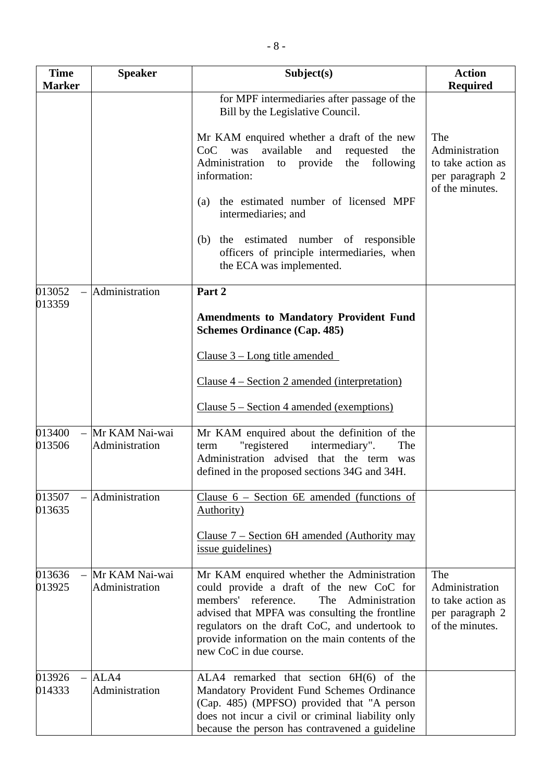| <b>Time</b><br><b>Marker</b> | <b>Speaker</b>                     | Subject(s)                                                                                                                                                                                                                                                                                                                | <b>Action</b><br><b>Required</b>                                                 |
|------------------------------|------------------------------------|---------------------------------------------------------------------------------------------------------------------------------------------------------------------------------------------------------------------------------------------------------------------------------------------------------------------------|----------------------------------------------------------------------------------|
|                              |                                    | for MPF intermediaries after passage of the<br>Bill by the Legislative Council.                                                                                                                                                                                                                                           |                                                                                  |
|                              |                                    | Mr KAM enquired whether a draft of the new<br>CoC was available<br>and<br>requested<br>the<br>to provide<br>following<br>Administration<br>the<br>information:                                                                                                                                                            | The<br>Administration<br>to take action as<br>per paragraph 2<br>of the minutes. |
|                              |                                    | the estimated number of licensed MPF<br>(a)<br>intermediaries; and                                                                                                                                                                                                                                                        |                                                                                  |
|                              |                                    | the estimated number of responsible<br>(b)<br>officers of principle intermediaries, when<br>the ECA was implemented.                                                                                                                                                                                                      |                                                                                  |
| 013052<br>013359             | Administration                     | Part 2                                                                                                                                                                                                                                                                                                                    |                                                                                  |
|                              |                                    | <b>Amendments to Mandatory Provident Fund</b><br><b>Schemes Ordinance (Cap. 485)</b>                                                                                                                                                                                                                                      |                                                                                  |
|                              |                                    | Clause 3 – Long title amended                                                                                                                                                                                                                                                                                             |                                                                                  |
|                              |                                    | Clause $4 - Section 2$ amended (interpretation)                                                                                                                                                                                                                                                                           |                                                                                  |
|                              |                                    | Clause $5 - Section 4$ amended (exemptions)                                                                                                                                                                                                                                                                               |                                                                                  |
| 013400<br>013506             | - Mr KAM Nai-wai<br>Administration | Mr KAM enquired about the definition of the<br>"registered<br>intermediary".<br>The<br>term<br>Administration advised that the term was<br>defined in the proposed sections 34G and 34H.                                                                                                                                  |                                                                                  |
| 013507<br>013635             | Administration                     | Clause $6$ – Section 6E amended (functions of<br><b>Authority</b> )                                                                                                                                                                                                                                                       |                                                                                  |
|                              |                                    | Clause $7 -$ Section 6H amended (Authority may<br><i>issue</i> guidelines)                                                                                                                                                                                                                                                |                                                                                  |
| 013636<br>013925             | Mr KAM Nai-wai<br>Administration   | Mr KAM enquired whether the Administration<br>could provide a draft of the new CoC for<br>members'<br>reference.<br>Administration<br>The<br>advised that MPFA was consulting the frontline<br>regulators on the draft CoC, and undertook to<br>provide information on the main contents of the<br>new CoC in due course. | The<br>Administration<br>to take action as<br>per paragraph 2<br>of the minutes. |
| 013926<br>014333             | ALA4<br>Administration             | ALA4 remarked that section 6H(6) of the<br>Mandatory Provident Fund Schemes Ordinance<br>(Cap. 485) (MPFSO) provided that "A person<br>does not incur a civil or criminal liability only<br>because the person has contravened a guideline                                                                                |                                                                                  |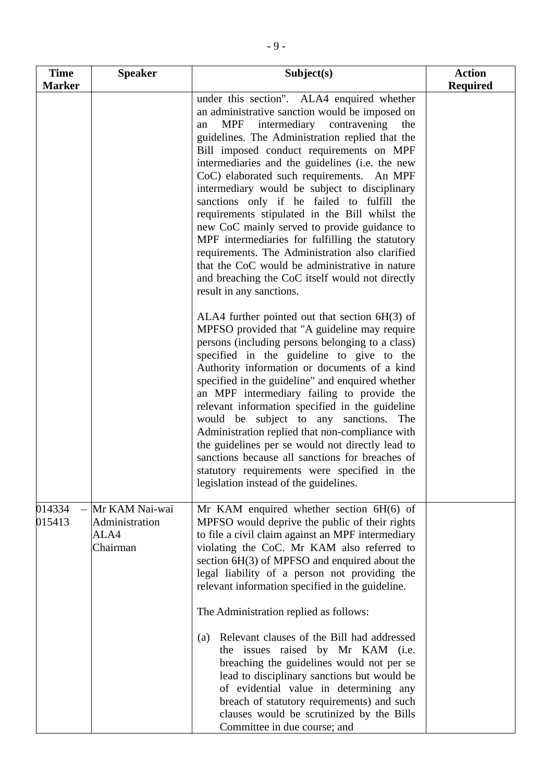| <b>Time</b>      | <b>Speaker</b>                                       | Subject(s)                                                                                                                                                                                                                                                                                                                                                                                                                                                                                                                                                                                                                                                                                                                                                                           | <b>Action</b>   |
|------------------|------------------------------------------------------|--------------------------------------------------------------------------------------------------------------------------------------------------------------------------------------------------------------------------------------------------------------------------------------------------------------------------------------------------------------------------------------------------------------------------------------------------------------------------------------------------------------------------------------------------------------------------------------------------------------------------------------------------------------------------------------------------------------------------------------------------------------------------------------|-----------------|
| <b>Marker</b>    |                                                      | under this section". ALA4 enquired whether<br>an administrative sanction would be imposed on<br>intermediary contravening<br>the<br>MPF<br>an<br>guidelines. The Administration replied that the<br>Bill imposed conduct requirements on MPF<br>intermediaries and the guidelines (i.e. the new<br>CoC) elaborated such requirements. An MPF<br>intermediary would be subject to disciplinary<br>sanctions only if he failed to fulfill the<br>requirements stipulated in the Bill whilst the<br>new CoC mainly served to provide guidance to<br>MPF intermediaries for fulfilling the statutory<br>requirements. The Administration also clarified<br>that the CoC would be administrative in nature<br>and breaching the CoC itself would not directly<br>result in any sanctions. | <b>Required</b> |
|                  |                                                      | ALA4 further pointed out that section 6H(3) of<br>MPFSO provided that "A guideline may require<br>persons (including persons belonging to a class)<br>specified in the guideline to give to the<br>Authority information or documents of a kind<br>specified in the guideline" and enquired whether<br>an MPF intermediary failing to provide the<br>relevant information specified in the guideline<br>would be subject to any sanctions.<br>The<br>Administration replied that non-compliance with<br>the guidelines per se would not directly lead to<br>sanctions because all sanctions for breaches of<br>statutory requirements were specified in the<br>legislation instead of the guidelines.                                                                                |                 |
| 014334<br>015413 | Mr KAM Nai-wai<br>Administration<br>ALA4<br>Chairman | Mr KAM enquired whether section $6H(6)$ of<br>MPFSO would deprive the public of their rights<br>to file a civil claim against an MPF intermediary<br>violating the CoC. Mr KAM also referred to<br>section 6H(3) of MPFSO and enquired about the<br>legal liability of a person not providing the<br>relevant information specified in the guideline.<br>The Administration replied as follows:<br>Relevant clauses of the Bill had addressed<br>(a)<br>the issues raised by Mr KAM (i.e.<br>breaching the guidelines would not per se<br>lead to disciplinary sanctions but would be                                                                                                                                                                                                |                 |
|                  |                                                      | of evidential value in determining any<br>breach of statutory requirements) and such<br>clauses would be scrutinized by the Bills<br>Committee in due course; and                                                                                                                                                                                                                                                                                                                                                                                                                                                                                                                                                                                                                    |                 |